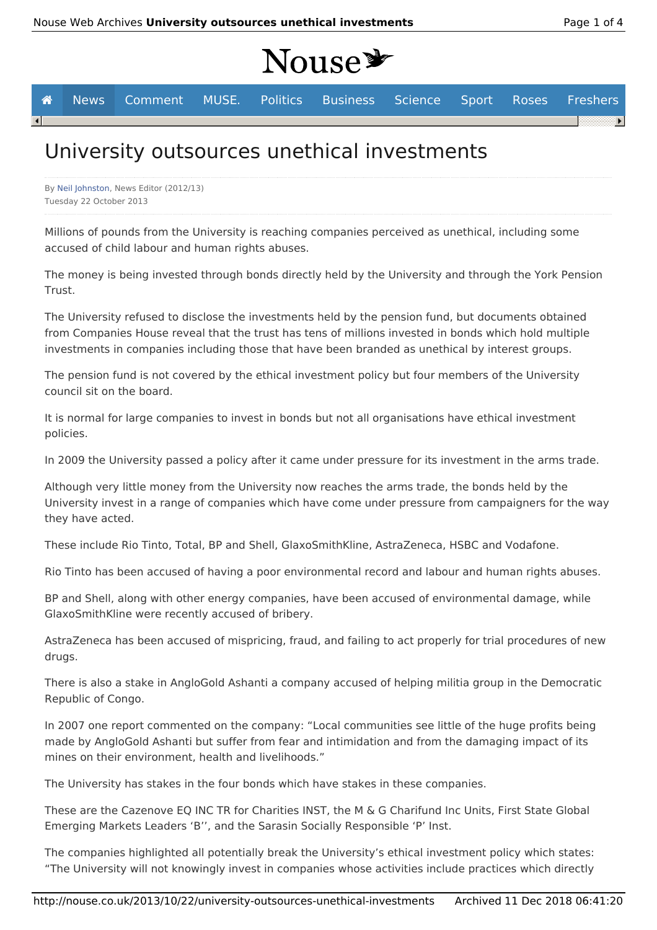# Nouse\*



## University outsources unethical investments

By Neil Johnston, News Editor (2012/13) Tuesday 22 October 2013

Millions of pounds from the University is reaching companies perceived as unethical, including some accused of child labour and human rights abuses.

The money is being invested through bonds directly held by the University and through the York Pension Trust.

The University refused to disclose the investments held by the pension fund, but documents obtained from Companies House reveal that the trust has tens of millions invested in bonds which hold multiple investments in companies including those that have been branded as unethical by interest groups.

The pension fund is not covered by the ethical investment policy but four members of the University council sit on the board.

It is normal for large companies to invest in bonds but not all organisations have ethical investment policies.

In 2009 the University passed a policy after it came under pressure for its investment in the arms trade.

Although very little money from the University now reaches the arms trade, the bonds held by the University invest in a range of companies which have come under pressure from campaigners for the way they have acted.

These include Rio Tinto, Total, BP and Shell, GlaxoSmithKline, AstraZeneca, HSBC and Vodafone.

Rio Tinto has been accused of having a poor environmental record and labour and human rights abuses.

BP and Shell, along with other energy companies, have been accused of environmental damage, while GlaxoSmithKline were recently accused of bribery.

AstraZeneca has been accused of mispricing, fraud, and failing to act properly for trial procedures of new drugs.

There is also a stake in AngloGold Ashanti a company accused of helping militia group in the Democratic Republic of Congo.

In 2007 one report commented on the company: "Local communities see little of the huge profits being made by AngloGold Ashanti but suffer from fear and intimidation and from the damaging impact of its mines on their environment, health and livelihoods."

The University has stakes in the four bonds which have stakes in these companies.

These are the Cazenove EQ INC TR for Charities INST, the M & G Charifund Inc Units, First State Global Emerging Markets Leaders 'B'', and the Sarasin Socially Responsible 'P' Inst.

The companies highlighted all potentially break the University's ethical investment policy which states: "The University will not knowingly invest in companies whose activities include practices which directly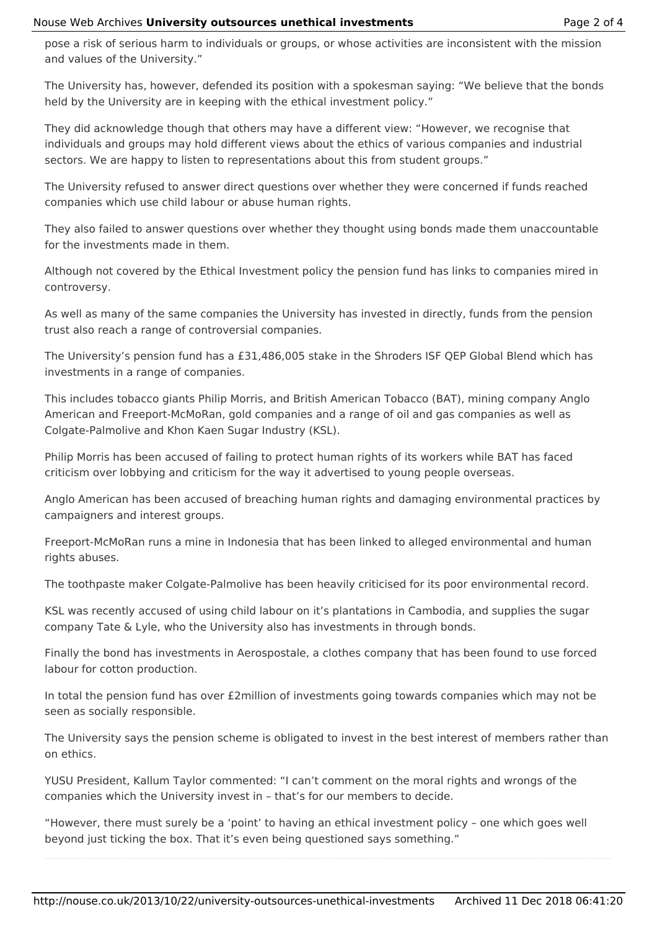pose a risk of serious harm to individuals or groups, or whose activities are inconsistent with the mission and values of the University."

The University has, however, defended its position with a spokesman saying: "We believe that the bonds held by the University are in keeping with the ethical investment policy."

They did acknowledge though that others may have a different view: "However, we recognise that individuals and groups may hold different views about the ethics of various companies and industrial sectors. We are happy to listen to representations about this from student groups."

The University refused to answer direct questions over whether they were concerned if funds reached companies which use child labour or abuse human rights.

They also failed to answer questions over whether they thought using bonds made them unaccountable for the investments made in them.

Although not covered by the Ethical Investment policy the pension fund has links to companies mired in controversy.

As well as many of the same companies the University has invested in directly, funds from the pension trust also reach a range of controversial companies.

The University's pension fund has a £31,486,005 stake in the Shroders ISF QEP Global Blend which has investments in a range of companies.

This includes tobacco giants Philip Morris, and British American Tobacco (BAT), mining company Anglo American and Freeport-McMoRan, gold companies and a range of oil and gas companies as well as Colgate-Palmolive and Khon Kaen Sugar Industry (KSL).

Philip Morris has been accused of failing to protect human rights of its workers while BAT has faced criticism over lobbying and criticism for the way it advertised to young people overseas.

Anglo American has been accused of breaching human rights and damaging environmental practices by campaigners and interest groups.

Freeport-McMoRan runs a mine in Indonesia that has been linked to alleged environmental and human rights abuses.

The toothpaste maker Colgate-Palmolive has been heavily criticised for its poor environmental record.

KSL was recently accused of using child labour on it's plantations in Cambodia, and supplies the sugar company Tate & Lyle, who the University also has investments in through bonds.

Finally the bond has investments in Aerospostale, a clothes company that has been found to use forced labour for cotton production.

In total the pension fund has over £2million of investments going towards companies which may not be seen as socially responsible.

The University says the pension scheme is obligated to invest in the best interest of members rather than on ethics.

YUSU President, Kallum Taylor commented: "I can't comment on the moral rights and wrongs of the companies which the University invest in – that's for our members to decide.

"However, there must surely be a 'point' to having an ethical investment policy – one which goes well beyond just ticking the box. That it's even being questioned says something."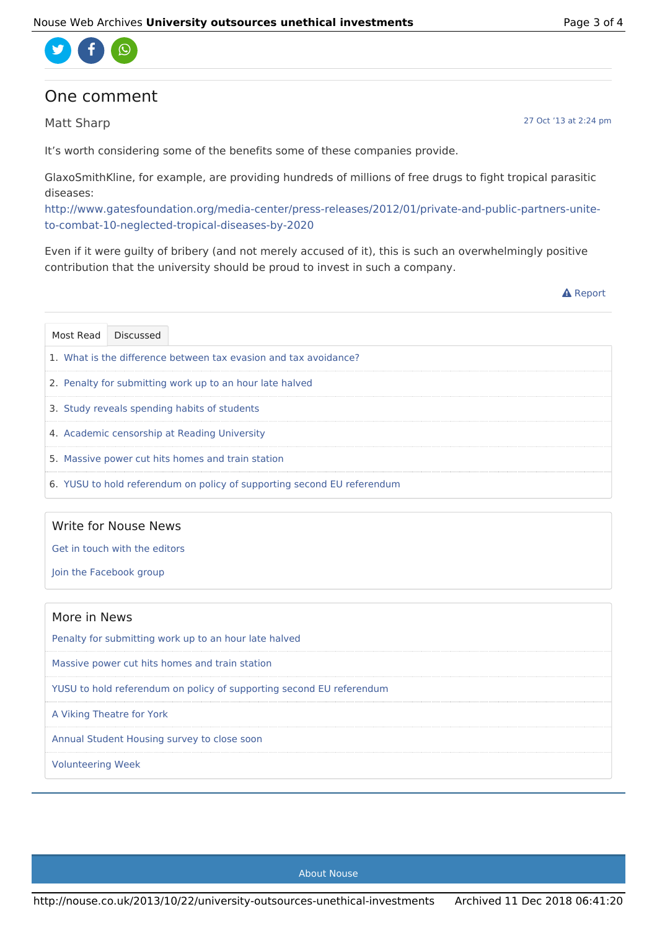

### One comment

Matt Sharp

It's worth considering some of the benefits some of these companies provide.

GlaxoSmithKline, for example, are providing hundreds of millions of free drugs to fight tropical parasitic diseases:

http://www.gatesfoundation.org/media-center/press-releases/2012/01/private-and-public-partners-uniteto-combat-10-neglected-tropical-diseases-by-2020

Even if it were guilty of bribery (and not merely accused of it), this is such an overwhelmingly positive contribution that the university should be proud to invest in such a company.

**A** Report

| Most Read                                                        | <b>Discussed</b>                                                        |  |  |  |
|------------------------------------------------------------------|-------------------------------------------------------------------------|--|--|--|
| 1. What is the difference between tax evasion and tax avoidance? |                                                                         |  |  |  |
| 2. Penalty for submitting work up to an hour late halved         |                                                                         |  |  |  |
| 3. Study reveals spending habits of students                     |                                                                         |  |  |  |
| 4. Academic censorship at Reading University                     |                                                                         |  |  |  |
|                                                                  | 5. Massive power cut hits homes and train station                       |  |  |  |
|                                                                  | 6. YUSU to hold referendum on policy of supporting second EU referendum |  |  |  |

#### Write for Nouse News

Get in touch with the editors

Join the Facebook group

| More in News                                                         |  |  |  |
|----------------------------------------------------------------------|--|--|--|
| Penalty for submitting work up to an hour late halved                |  |  |  |
| Massive power cut hits homes and train station                       |  |  |  |
| YUSU to hold referendum on policy of supporting second EU referendum |  |  |  |
| A Viking Theatre for York                                            |  |  |  |
| Annual Student Housing survey to close soon                          |  |  |  |
| <b>Volunteering Week</b>                                             |  |  |  |

27 Oct '13 at 2:24 pm

About Nouse